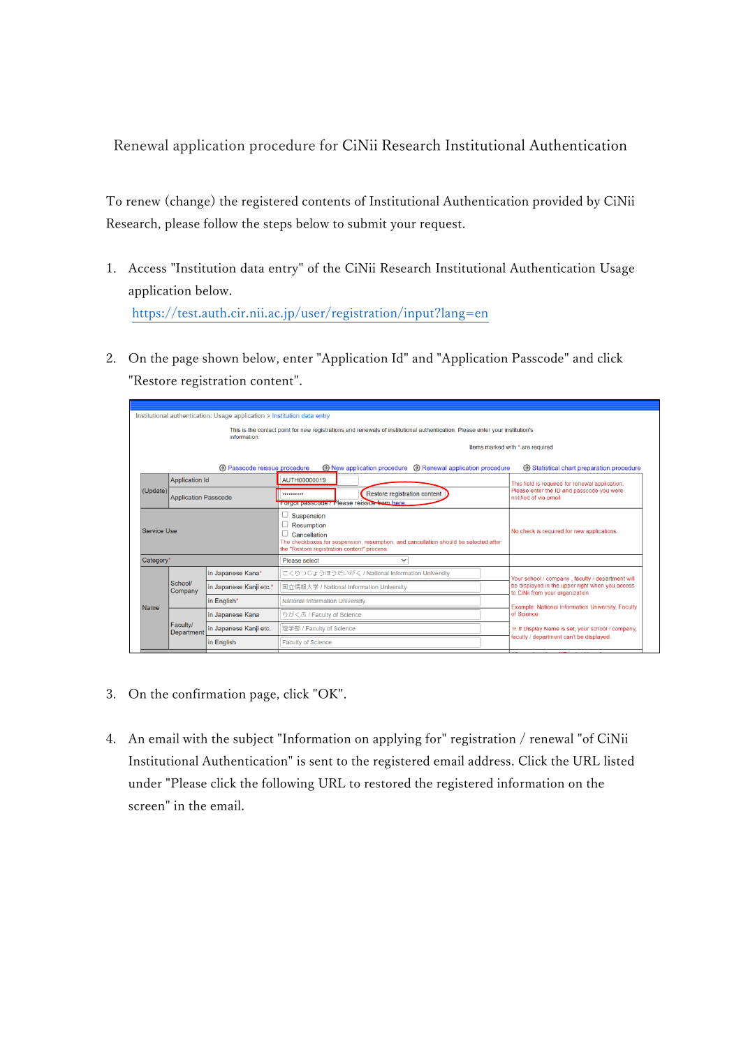Renewal application procedure for CiNii Research Institutional Authentication

To renew (change) the registered contents of Institutional Authentication provided by CiNii Research, please follow the steps below to submit your request.

- 1. Access "Institution data entry" of the CiNii Research Institutional Authentication Usage application below. <https://test.auth.cir.nii.ac.jp/user/registration/input?lang=en>
- 2. On the page shown below, enter "Application Id" and "Application Passcode" and click "Restore registration content".

| Institutional authentication: Usage application > Institution data entry                                                                     |                                                      |                                                                                                                                                                                 |                                               |                                                                         |                                          |                                                                                                                                                                                                            |  |
|----------------------------------------------------------------------------------------------------------------------------------------------|------------------------------------------------------|---------------------------------------------------------------------------------------------------------------------------------------------------------------------------------|-----------------------------------------------|-------------------------------------------------------------------------|------------------------------------------|------------------------------------------------------------------------------------------------------------------------------------------------------------------------------------------------------------|--|
| This is the contact point for new registrations and renewals of institutional authentication. Please enter your institution's<br>information |                                                      |                                                                                                                                                                                 |                                               |                                                                         |                                          |                                                                                                                                                                                                            |  |
|                                                                                                                                              |                                                      |                                                                                                                                                                                 | Items marked with * are required              |                                                                         |                                          |                                                                                                                                                                                                            |  |
|                                                                                                                                              |                                                      | <b>A Passcode reissue procedure</b>                                                                                                                                             |                                               | $\odot$ New application procedure $\odot$ Renewal application procedure |                                          | <b>Example 3 Statistical chart preparation procedure</b>                                                                                                                                                   |  |
|                                                                                                                                              | <b>Application Id</b><br><b>Application Passcode</b> |                                                                                                                                                                                 | AUTH00000019                                  |                                                                         |                                          | This field is required for renewal application.                                                                                                                                                            |  |
| (Update)                                                                                                                                     |                                                      |                                                                                                                                                                                 | <br>Forgot passcode? Please reissue from here | Restore registration content                                            |                                          | Please enter the ID and passcode you were<br>notified of via email.                                                                                                                                        |  |
| <b>Service Use</b>                                                                                                                           |                                                      | Suspension<br>Resumption<br>Cancellation<br>The checkboxes for suspension, resumption, and cancellation should be selected after<br>the "Restore registration content" process. |                                               | No check is required for new applications.                              |                                          |                                                                                                                                                                                                            |  |
| Category*                                                                                                                                    |                                                      | Please select<br>$\checkmark$                                                                                                                                                   |                                               |                                                                         |                                          |                                                                                                                                                                                                            |  |
| Name                                                                                                                                         | School/<br>Company                                   | in Japanese Kana*                                                                                                                                                               |                                               | こくりつじょうほうだいがく / National Information University                         |                                          | Your school / company, faculty / department will                                                                                                                                                           |  |
|                                                                                                                                              |                                                      | in Japanese Kanji etc.*                                                                                                                                                         | 国立情報大学 / National Information University      |                                                                         |                                          | be displayed in the upper right when you access<br>to CiNii from your organization.<br>Example: National Information University, Faculty<br>of Science<br>※ If Display Name is set, your school / company, |  |
|                                                                                                                                              |                                                      | in English*                                                                                                                                                                     | <b>National Information University</b>        |                                                                         |                                          |                                                                                                                                                                                                            |  |
|                                                                                                                                              | Faculty/<br><b>Department</b>                        | in Japanese Kana                                                                                                                                                                | りがくぶ / Faculty of Science                     |                                                                         |                                          |                                                                                                                                                                                                            |  |
|                                                                                                                                              |                                                      | in Japanese Kanji etc.                                                                                                                                                          | 理学部 / Faculty of Science                      |                                                                         |                                          |                                                                                                                                                                                                            |  |
|                                                                                                                                              |                                                      | in English                                                                                                                                                                      | <b>Faculty of Science</b>                     |                                                                         | faculty / department can't be displayed. |                                                                                                                                                                                                            |  |
|                                                                                                                                              |                                                      |                                                                                                                                                                                 |                                               |                                                                         |                                          |                                                                                                                                                                                                            |  |

- 3. On the confirmation page, click "OK".
- 4. An email with the subject "Information on applying for" registration / renewal "of CiNii Institutional Authentication" is sent to the registered email address. Click the URL listed under "Please click the following URL to restored the registered information on the screen" in the email.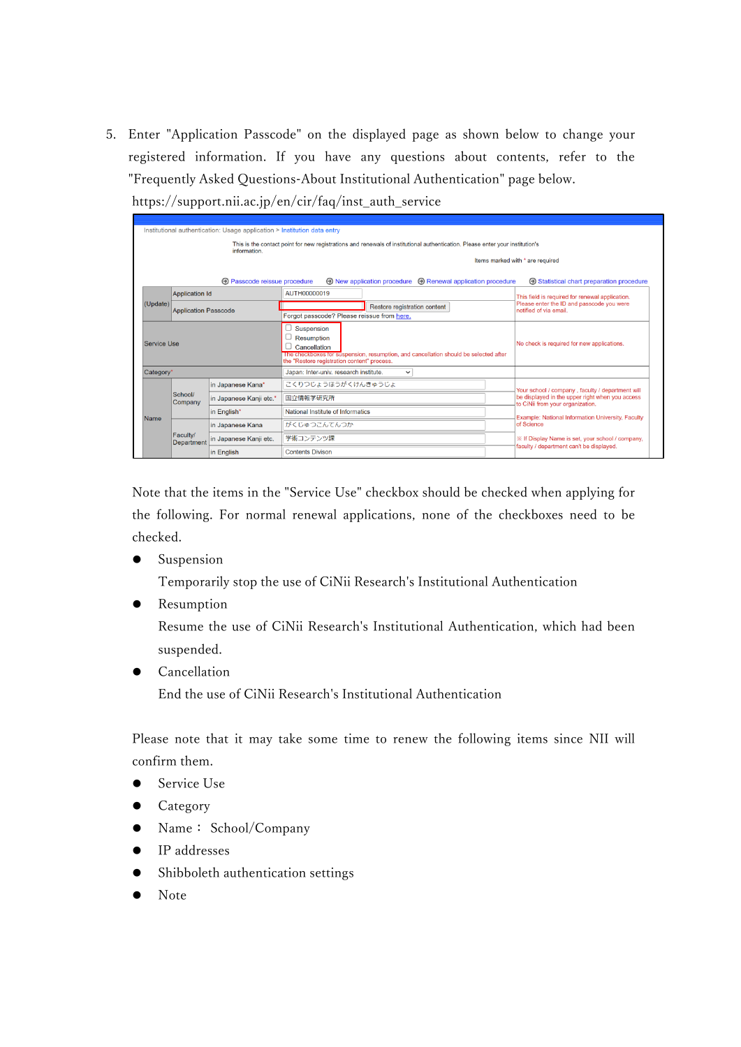5. Enter "Application Passcode" on the displayed page as shown below to change your registered information. If you have any questions about contents, refer to the "Frequently Asked Questions-About Institutional Authentication" page below. https://support.nii.ac.jp/en/cir/faq/inst\_auth\_service

|             | Institutional authentication: Usage application > Institution data entry                                                                                           |                        |                                                                                                                                                                                        |                                            |                                                                                              |                                                                                     |
|-------------|--------------------------------------------------------------------------------------------------------------------------------------------------------------------|------------------------|----------------------------------------------------------------------------------------------------------------------------------------------------------------------------------------|--------------------------------------------|----------------------------------------------------------------------------------------------|-------------------------------------------------------------------------------------|
|             |                                                                                                                                                                    | information.           | This is the contact point for new registrations and renewals of institutional authentication. Please enter your institution's                                                          |                                            |                                                                                              |                                                                                     |
|             |                                                                                                                                                                    |                        | Items marked with * are required                                                                                                                                                       |                                            |                                                                                              |                                                                                     |
|             | <b>A</b> Passcode reissue procedure<br>$\odot$ New application procedure $\odot$ Renewal application procedure<br><b>E</b> Statistical chart preparation procedure |                        |                                                                                                                                                                                        |                                            |                                                                                              |                                                                                     |
|             | <b>Application Id</b>                                                                                                                                              |                        | AUTH00000019                                                                                                                                                                           |                                            | This field is required for renewal application.                                              |                                                                                     |
|             | (Update)<br><b>Application Passcode</b>                                                                                                                            |                        | Restore registration content<br>Forgot passcode? Please reissue from here.                                                                                                             |                                            | Please enter the ID and passcode you were<br>notified of via email.                          |                                                                                     |
| Service Use |                                                                                                                                                                    |                        | Suspension<br><b>Resumption</b><br>Cancellation<br>The checkboxes for suspension, resumption, and cancellation should be selected after<br>the "Restore registration content" process. | No check is required for new applications. |                                                                                              |                                                                                     |
| Category*   |                                                                                                                                                                    |                        | Japan: Inter-univ. research institute.<br>$\checkmark$                                                                                                                                 |                                            |                                                                                              |                                                                                     |
|             | School/<br>Company                                                                                                                                                 |                        | in Japanese Kana*                                                                                                                                                                      | こくりつじょうほうがくけんきゅうじょ                         |                                                                                              | Your school / company, faculty / department will                                    |
|             |                                                                                                                                                                    |                        | in Japanese Kanji etc.*                                                                                                                                                                | 国立情報学研究所                                   |                                                                                              | be displayed in the upper right when you access<br>to CiNii from your organization. |
| Name        |                                                                                                                                                                    | in English*            | National Institute of Informatics                                                                                                                                                      |                                            | Example: National Information University, Faculty                                            |                                                                                     |
|             | Faculty/<br>Department                                                                                                                                             | in Japanese Kana       | がくじゅつこんてんつか                                                                                                                                                                            |                                            | of Science                                                                                   |                                                                                     |
|             |                                                                                                                                                                    | in Japanese Kanji etc. | 学術コンテンツ課                                                                                                                                                                               |                                            | ※ If Display Name is set, your school / company,<br>faculty / department can't be displayed. |                                                                                     |
|             |                                                                                                                                                                    | in English             | <b>Contents Divison</b>                                                                                                                                                                |                                            |                                                                                              |                                                                                     |

Note that the items in the "Service Use" checkbox should be checked when applying for the following. For normal renewal applications, none of the checkboxes need to be checked.

• Suspension

Temporarily stop the use of CiNii Research's Institutional Authentication

Resumption

Resume the use of CiNii Research's Institutional Authentication, which had been suspended.

Cancellation

End the use of CiNii Research's Institutional Authentication

Please note that it may take some time to renew the following items since NII will confirm them.

- Service Use
- Category
- Name: School/Company
- IP addresses
- Shibboleth authentication settings
- Note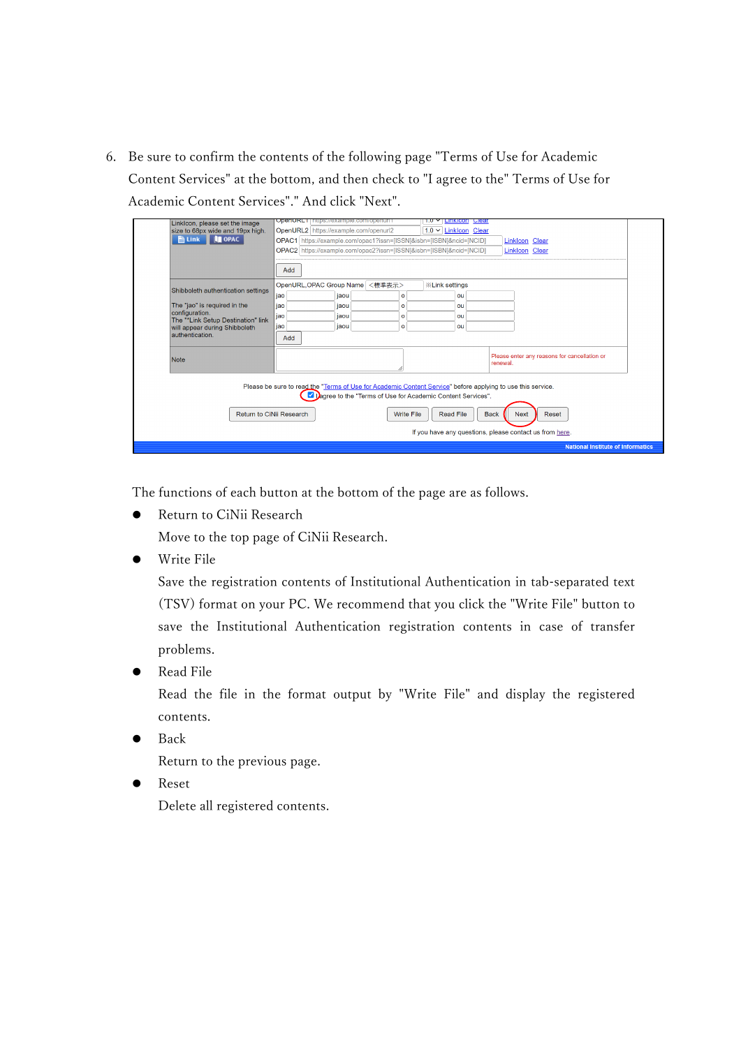6. Be sure to confirm the contents of the following page "Terms of Use for Academic Content Services" at the bottom, and then check to "I agree to the" Terms of Use for Academic Content Services"." And click "Next".

| Linklcon, please set the image                                                                                                                                             | OpenOrt Finaps://example.com/openum<br><b>LITIKICON Clear</b><br>1.0                         |  |  |  |
|----------------------------------------------------------------------------------------------------------------------------------------------------------------------------|----------------------------------------------------------------------------------------------|--|--|--|
| size to 68px wide and 19px high.                                                                                                                                           | OpenURL2 https://example.com/openurl2<br>$1.0 \vee$ Linklcon Clear                           |  |  |  |
| <b>ELINK TOPAC</b>                                                                                                                                                         | OPAC1 https://example.com/opac1?issn=[ISSN]&isbn=[ISBN]&ncid=[NCID]<br><b>Linklcon Clear</b> |  |  |  |
|                                                                                                                                                                            | OPAC2 https://example.com/opac2?issn=[ISSN]&isbn=[ISBN]&ncid=[NCID]<br><b>Linklcon Clear</b> |  |  |  |
|                                                                                                                                                                            |                                                                                              |  |  |  |
|                                                                                                                                                                            | Add                                                                                          |  |  |  |
| Shibboleth authentication settings                                                                                                                                         | <標準表示><br>OpenURL, OPAC Group Name<br><b>X</b> Link settings                                 |  |  |  |
|                                                                                                                                                                            | jao<br>jaou<br>$\circ$<br>ou                                                                 |  |  |  |
| The "jao" is required in the                                                                                                                                               | iao<br>jaou<br>ou<br>$\Omega$                                                                |  |  |  |
| configuration.<br>The "*Link Setup Destination" link                                                                                                                       | jao<br>jaou<br>ou<br>$\circ$                                                                 |  |  |  |
| will appear during Shibboleth                                                                                                                                              | iaou<br>jao<br>$\circ$<br>ou                                                                 |  |  |  |
| authentication.                                                                                                                                                            | Add                                                                                          |  |  |  |
| Note                                                                                                                                                                       | Please enter any reasons for cancellation or<br>renewal.                                     |  |  |  |
| Please be sure to read the "Terms of Use for Academic Content Service" before applying to use this service.<br>Dagree to the "Terms of Use for Academic Content Services". |                                                                                              |  |  |  |
| Return to CiNii Research<br><b>Write File</b><br><b>Read File</b><br><b>Back</b><br><b>Next</b><br>Reset                                                                   |                                                                                              |  |  |  |
|                                                                                                                                                                            | If you have any questions, please contact us from here.                                      |  |  |  |
|                                                                                                                                                                            | <b>National Institute of Informatics</b>                                                     |  |  |  |

The functions of each button at the bottom of the page are as follows.

● Return to CiNii Research

Move to the top page of CiNii Research.

Write File

Save the registration contents of Institutional Authentication in tab-separated text (TSV) format on your PC. We recommend that you click the "Write File" button to save the Institutional Authentication registration contents in case of transfer problems.

Read File

Read the file in the format output by "Write File" and display the registered contents.

Back

Return to the previous page.

 Reset Delete all registered contents.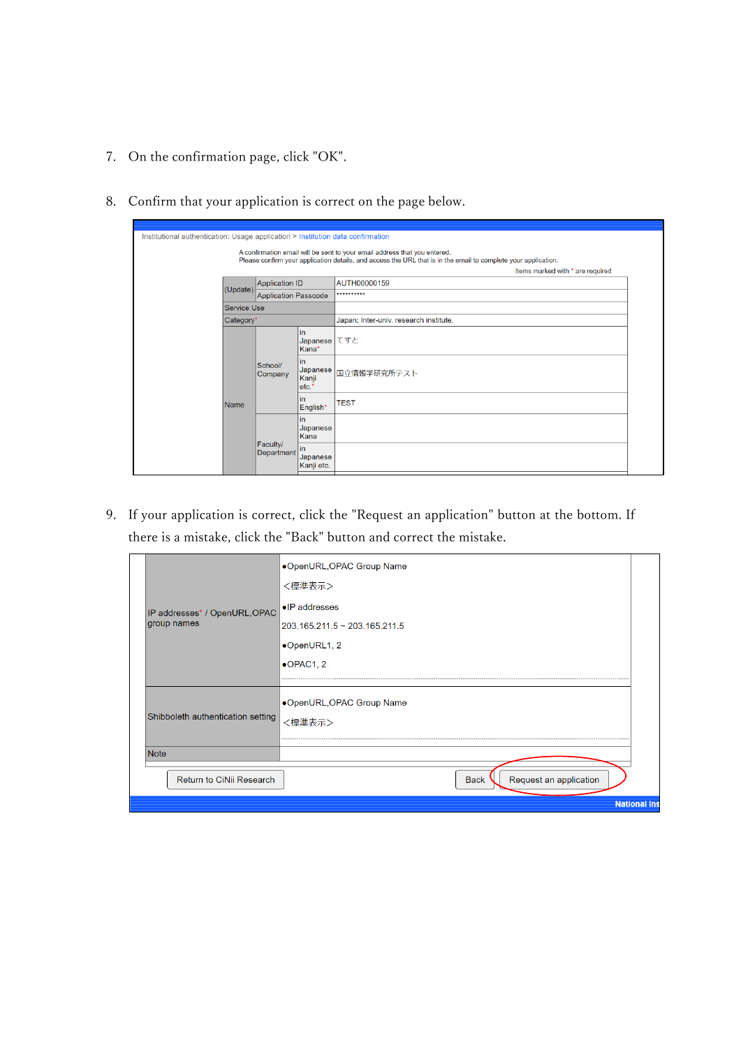7. On the confirmation page, click "OK".

|                                         |                        |                                  | A confirmation email will be sent to your email address that you entered.<br>Please confirm your application details, and access the URL that is in the email to complete your application. |
|-----------------------------------------|------------------------|----------------------------------|---------------------------------------------------------------------------------------------------------------------------------------------------------------------------------------------|
|                                         |                        |                                  | Items marked with * are required                                                                                                                                                            |
|                                         | <b>Application ID</b>  |                                  | AUTH00000159                                                                                                                                                                                |
| (Update)<br><b>Application Passcode</b> |                        |                                  | **********                                                                                                                                                                                  |
| <b>Service Use</b>                      |                        |                                  |                                                                                                                                                                                             |
|                                         | Category*              |                                  | Japan: Inter-univ. research institute.                                                                                                                                                      |
|                                         |                        | in<br>Japanese てすと<br>Kana*      |                                                                                                                                                                                             |
|                                         | School/<br>Company     | in<br>Japanese<br>Kanji<br>etc.* | 国立情報学研究所テスト                                                                                                                                                                                 |
| <b>Name</b>                             |                        | in<br>English*                   | <b>TEST</b>                                                                                                                                                                                 |
|                                         |                        | in<br>Japanese<br>Kana           |                                                                                                                                                                                             |
|                                         | Faculty/<br>Department | lin<br>Japanese<br>Kanji etc.    |                                                                                                                                                                                             |

8. Confirm that your application is correct on the page below.

9. If your application is correct, click the "Request an application" button at the bottom. If there is a mistake, click the "Back" button and correct the mistake.

|                                   | •OpenURL, OPAC Group Name             |                     |
|-----------------------------------|---------------------------------------|---------------------|
|                                   | <標準表示>                                |                     |
| IP addresses* / OpenURL, OPAC     | •IP addresses                         |                     |
| group names                       | 203.165.211.5 ~ 203.165.211.5         |                     |
|                                   | •OpenURL1, 2                          |                     |
|                                   | $\bullet$ OPAC1, 2                    |                     |
|                                   |                                       |                     |
|                                   | ●OpenURL,OPAC Group Name              |                     |
| Shibboleth authentication setting | <標進表示>                                |                     |
|                                   |                                       |                     |
| <b>Note</b>                       |                                       |                     |
| Return to CiNii Research          | Request an application<br><b>Back</b> |                     |
|                                   |                                       | <b>National Ins</b> |